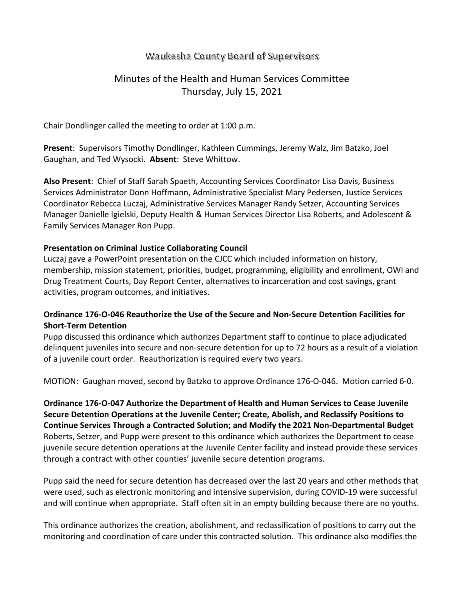## Waukesha County Board of Supervisors

# Minutes of the Health and Human Services Committee Thursday, July 15, 2021

Chair Dondlinger called the meeting to order at 1:00 p.m.

**Present**: Supervisors Timothy Dondlinger, Kathleen Cummings, Jeremy Walz, Jim Batzko, Joel Gaughan, and Ted Wysocki. **Absent**: Steve Whittow.

**Also Present**: Chief of Staff Sarah Spaeth, Accounting Services Coordinator Lisa Davis, Business Services Administrator Donn Hoffmann, Administrative Specialist Mary Pedersen, Justice Services Coordinator Rebecca Luczaj, Administrative Services Manager Randy Setzer, Accounting Services Manager Danielle Igielski, Deputy Health & Human Services Director Lisa Roberts, and Adolescent & Family Services Manager Ron Pupp.

### **Presentation on Criminal Justice Collaborating Council**

Luczaj gave a PowerPoint presentation on the CJCC which included information on history, membership, mission statement, priorities, budget, programming, eligibility and enrollment, OWI and Drug Treatment Courts, Day Report Center, alternatives to incarceration and cost savings, grant activities, program outcomes, and initiatives.

## **Ordinance 176-O-046 Reauthorize the Use of the Secure and Non-Secure Detention Facilities for Short-Term Detention**

Pupp discussed this ordinance which authorizes Department staff to continue to place adjudicated delinquent juveniles into secure and non-secure detention for up to 72 hours as a result of a violation of a juvenile court order. Reauthorization is required every two years.

MOTION: Gaughan moved, second by Batzko to approve Ordinance 176-O-046. Motion carried 6-0.

**Ordinance 176-O-047 Authorize the Department of Health and Human Services to Cease Juvenile Secure Detention Operations at the Juvenile Center; Create, Abolish, and Reclassify Positions to Continue Services Through a Contracted Solution; and Modify the 2021 Non-Departmental Budget** Roberts, Setzer, and Pupp were present to this ordinance which authorizes the Department to cease juvenile secure detention operations at the Juvenile Center facility and instead provide these services through a contract with other counties' juvenile secure detention programs.

Pupp said the need for secure detention has decreased over the last 20 years and other methods that were used, such as electronic monitoring and intensive supervision, during COVID-19 were successful and will continue when appropriate. Staff often sit in an empty building because there are no youths.

This ordinance authorizes the creation, abolishment, and reclassification of positions to carry out the monitoring and coordination of care under this contracted solution. This ordinance also modifies the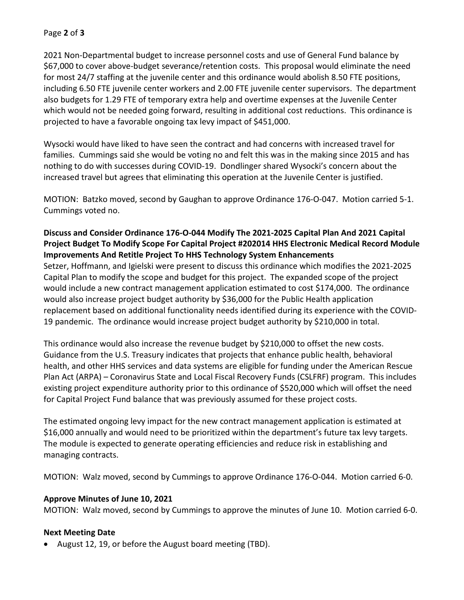#### Page **2** of **3**

2021 Non-Departmental budget to increase personnel costs and use of General Fund balance by \$67,000 to cover above-budget severance/retention costs. This proposal would eliminate the need for most 24/7 staffing at the juvenile center and this ordinance would abolish 8.50 FTE positions, including 6.50 FTE juvenile center workers and 2.00 FTE juvenile center supervisors. The department also budgets for 1.29 FTE of temporary extra help and overtime expenses at the Juvenile Center which would not be needed going forward, resulting in additional cost reductions. This ordinance is projected to have a favorable ongoing tax levy impact of \$451,000.

Wysocki would have liked to have seen the contract and had concerns with increased travel for families. Cummings said she would be voting no and felt this was in the making since 2015 and has nothing to do with successes during COVID-19. Dondlinger shared Wysocki's concern about the increased travel but agrees that eliminating this operation at the Juvenile Center is justified.

MOTION: Batzko moved, second by Gaughan to approve Ordinance 176-O-047. Motion carried 5-1. Cummings voted no.

## **Discuss and Consider Ordinance 176-O-044 Modify The 2021-2025 Capital Plan And 2021 Capital Project Budget To Modify Scope For Capital Project #202014 HHS Electronic Medical Record Module Improvements And Retitle Project To HHS Technology System Enhancements**

Setzer, Hoffmann, and Igielski were present to discuss this ordinance which modifies the 2021-2025 Capital Plan to modify the scope and budget for this project. The expanded scope of the project would include a new contract management application estimated to cost \$174,000. The ordinance would also increase project budget authority by \$36,000 for the Public Health application replacement based on additional functionality needs identified during its experience with the COVID-19 pandemic. The ordinance would increase project budget authority by \$210,000 in total.

This ordinance would also increase the revenue budget by \$210,000 to offset the new costs. Guidance from the U.S. Treasury indicates that projects that enhance public health, behavioral health, and other HHS services and data systems are eligible for funding under the American Rescue Plan Act (ARPA) – Coronavirus State and Local Fiscal Recovery Funds (CSLFRF) program. This includes existing project expenditure authority prior to this ordinance of \$520,000 which will offset the need for Capital Project Fund balance that was previously assumed for these project costs.

The estimated ongoing levy impact for the new contract management application is estimated at \$16,000 annually and would need to be prioritized within the department's future tax levy targets. The module is expected to generate operating efficiencies and reduce risk in establishing and managing contracts.

MOTION: Walz moved, second by Cummings to approve Ordinance 176-O-044. Motion carried 6-0.

#### **Approve Minutes of June 10, 2021**

MOTION: Walz moved, second by Cummings to approve the minutes of June 10. Motion carried 6-0.

#### **Next Meeting Date**

• August 12, 19, or before the August board meeting (TBD).